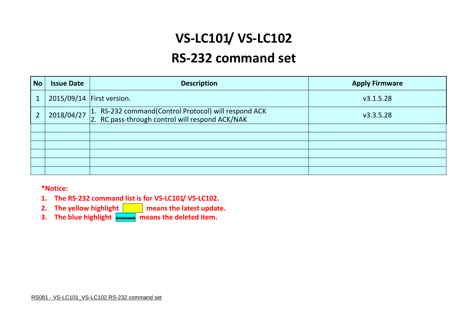# **VS-LC101/ VS-LC102**

## **RS-232 command set**

| <b>No</b> | <b>Issue Date</b> | <b>Description</b>                                                                                      | <b>Apply Firmware</b> |
|-----------|-------------------|---------------------------------------------------------------------------------------------------------|-----------------------|
|           |                   | 2015/09/14 First version.                                                                               | v3.1.5.28             |
|           | 2018/04/27        | 1. RS-232 command(Control Protocol) will respond ACK<br>2. RC pass-through control will respond ACK/NAK | v3.3.5.28             |
|           |                   |                                                                                                         |                       |
|           |                   |                                                                                                         |                       |
|           |                   |                                                                                                         |                       |
|           |                   |                                                                                                         |                       |
|           |                   |                                                                                                         |                       |
|           |                   |                                                                                                         |                       |

#### **\*Notice:**

- **1. The RS-232 command list is for VS-LC101/ VS-LC102.**
- **2.** The yellow highlight **neans** the latest update.
- **3.** The blue highlight **normally means the deleted item.**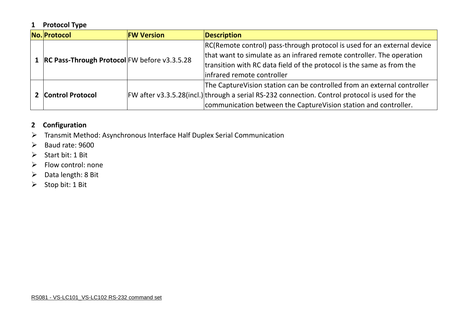## **1 Protocol Type**

| No. Protocol                                     | <b>FW Version</b> | Description                                                                                                                                                                                                                                             |
|--------------------------------------------------|-------------------|---------------------------------------------------------------------------------------------------------------------------------------------------------------------------------------------------------------------------------------------------------|
| 1   RC Pass-Through Protocol FW before v3.3.5.28 |                   | RC(Remote control) pass-through protocol is used for an external device<br>that want to simulate as an infrared remote controller. The operation<br>transition with RC data field of the protocol is the same as from the<br>infrared remote controller |
| <b>Control Protocol</b>                          |                   | The Capture Vision station can be controlled from an external controller<br>$FW$ after v3.3.5.28(incl.) through a serial RS-232 connection. Control protocol is used for the<br>communication between the CaptureVision station and controller.         |

## **2 Configuration**

- Transmit Method: Asynchronous Interface Half Duplex Serial Communication
- $\triangleright$  Baud rate: 9600
- Start bit: 1 Bit
- $\triangleright$  Flow control: none
- $\triangleright$  Data length: 8 Bit
- $\triangleright$  Stop bit: 1 Bit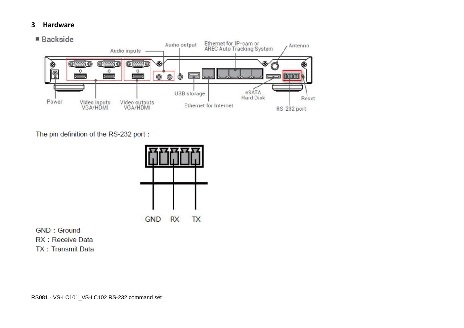#### **3 Hardware**



The pin definition of the RS-232 port:



**GND: Ground** RX : Receive Data **TX: Transmit Data**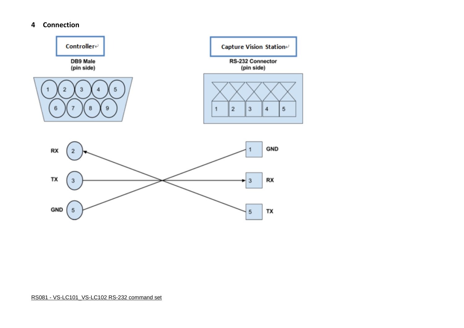#### **4 Connection**

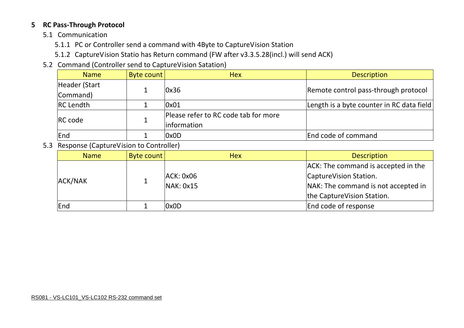#### **5 RC Pass-Through Protocol**

- 5.1 Communication
	- 5.1.1 PC or Controller send a command with 4Byte to CaptureVision Station
	- 5.1.2 CaptureVision Statio has Return command (FW after v3.3.5.28(incl.) will send ACK)
- 5.2 Command (Controller send to CaptureVision Satation)

| <b>Name</b>      | Byte count | <b>Hex</b>                           | <b>Description</b>                        |  |
|------------------|------------|--------------------------------------|-------------------------------------------|--|
| Header (Start    |            | l0x36                                |                                           |  |
| Command)         |            |                                      | Remote control pass-through protocol      |  |
| <b>RC</b> Lendth |            | 0x01                                 | Length is a byte counter in RC data field |  |
| <b>IRC</b> code  |            | Please refer to RC code tab for more |                                           |  |
|                  |            | linformation                         |                                           |  |
| <b>End</b>       |            | 0x0D                                 | End code of command                       |  |

5.3 Response (CaptureVision to Controller)

| <b>Name</b>    | Byte count | <b>Hex</b> | <b>Description</b>                  |
|----------------|------------|------------|-------------------------------------|
|                |            |            | ACK: The command is accepted in the |
| <b>ACK/NAK</b> |            | ACK: 0x06  | CaptureVision Station.              |
|                |            | NAK: 0x15  | NAK: The command is not accepted in |
|                |            |            | the CaptureVision Station.          |
| End            |            | 0x0D       | End code of response                |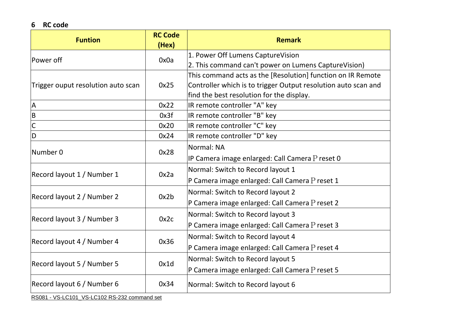#### **6 RC code**

| <b>Funtion</b>                     | <b>RC Code</b><br>(Hex) | <b>Remark</b>                                                  |
|------------------------------------|-------------------------|----------------------------------------------------------------|
|                                    |                         | 1. Power Off Lumens CaptureVision                              |
| lPower off                         | 0x0a                    | 2. This command can't power on Lumens CaptureVision)           |
|                                    |                         | This command acts as the [Resolution] function on IR Remote    |
| Trigger ouput resolution auto scan | 0x25                    | Controller which is to trigger Output resolution auto scan and |
|                                    |                         | find the best resolution for the display.                      |
| $\boldsymbol{\mathsf{A}}$          | 0x22                    | IR remote controller "A" key                                   |
| $\overline{B}$                     | 0x3f                    | IR remote controller "B" key                                   |
| $\overline{C}$                     | 0x20                    | IR remote controller "C" key                                   |
| $\overline{\mathsf{D}}$            | 0x24                    | IR remote controller "D" key                                   |
| Number 0                           |                         | Normal: NA                                                     |
|                                    | 0x28                    | IP Camera image enlarged: Call Camera $P$ reset 0              |
| Record layout 1 / Number 1         | 0x2a                    | Normal: Switch to Record layout 1                              |
|                                    |                         | P Camera image enlarged: Call Camera P reset 1                 |
| Record layout 2 / Number 2         | 0x2b                    | Normal: Switch to Record layout 2                              |
|                                    |                         | P Camera image enlarged: Call Camera P reset 2                 |
| Record layout 3 / Number 3         | 0x2c                    | Normal: Switch to Record layout 3                              |
|                                    |                         | P Camera image enlarged: Call Camera P reset 3                 |
| Record layout 4 / Number 4         | 0x36                    | Normal: Switch to Record layout 4                              |
|                                    |                         | P Camera image enlarged: Call Camera P reset 4                 |
|                                    |                         | Normal: Switch to Record layout 5                              |
| Record layout 5 / Number 5         | 0x1d                    | P Camera image enlarged: Call Camera $P$ reset 5               |
| Record layout 6 / Number 6         | 0x34                    | Normal: Switch to Record layout 6                              |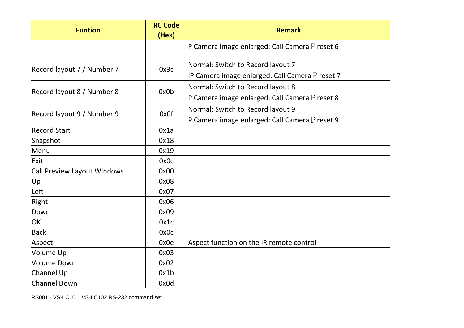| <b>Funtion</b>                     | <b>RC Code</b><br>(Hex) | <b>Remark</b>                                                                        |
|------------------------------------|-------------------------|--------------------------------------------------------------------------------------|
|                                    |                         | P Camera image enlarged: Call Camera P reset 6                                       |
| Record layout 7 / Number 7         | 0x3c                    | Normal: Switch to Record layout 7<br>IP Camera image enlarged: Call Camera P reset 7 |
| Record layout 8 / Number 8         | 0x0b                    | Normal: Switch to Record layout 8<br>P Camera image enlarged: Call Camera P reset 8  |
| Record layout 9 / Number 9         | 0x0f                    | Normal: Switch to Record layout 9<br>P Camera image enlarged: Call Camera P reset 9  |
| <b>Record Start</b>                | 0x1a                    |                                                                                      |
| Snapshot                           | 0x18                    |                                                                                      |
| Menu                               | 0x19                    |                                                                                      |
| Exit                               | 0x0c                    |                                                                                      |
| <b>Call Preview Layout Windows</b> | 0x00                    |                                                                                      |
| Up                                 | 0x08                    |                                                                                      |
| Left                               | 0x07                    |                                                                                      |
| Right                              | 0x06                    |                                                                                      |
| Down                               | 0x09                    |                                                                                      |
| OK                                 | 0x1c                    |                                                                                      |
| <b>Back</b>                        | 0x0c                    |                                                                                      |
| Aspect                             | 0x0e                    | Aspect function on the IR remote control                                             |
| Volume Up                          | 0x03                    |                                                                                      |
| Volume Down                        | 0x02                    |                                                                                      |
| Channel Up                         | 0x1b                    |                                                                                      |
| <b>Channel Down</b>                | 0x0d                    |                                                                                      |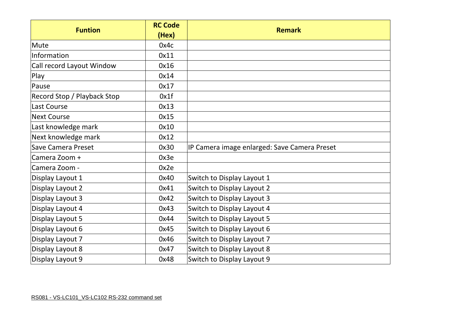|                             | <b>RC Code</b> |                                              |
|-----------------------------|----------------|----------------------------------------------|
| <b>Funtion</b>              | (Hex)          | <b>Remark</b>                                |
| Mute                        | 0x4c           |                                              |
| Information                 | 0x11           |                                              |
| Call record Layout Window   | 0x16           |                                              |
| Play                        | 0x14           |                                              |
| Pause                       | 0x17           |                                              |
| Record Stop / Playback Stop | 0x1f           |                                              |
| Last Course                 | 0x13           |                                              |
| <b>Next Course</b>          | 0x15           |                                              |
| Last knowledge mark         | 0x10           |                                              |
| Next knowledge mark         | 0x12           |                                              |
| <b>Save Camera Preset</b>   | 0x30           | IP Camera image enlarged: Save Camera Preset |
| Camera Zoom +               | 0x3e           |                                              |
| Camera Zoom -               | 0x2e           |                                              |
| Display Layout 1            | 0x40           | Switch to Display Layout 1                   |
| Display Layout 2            | 0x41           | Switch to Display Layout 2                   |
| Display Layout 3            | 0x42           | Switch to Display Layout 3                   |
| Display Layout 4            | 0x43           | Switch to Display Layout 4                   |
| Display Layout 5            | 0x44           | Switch to Display Layout 5                   |
| Display Layout 6            | 0x45           | Switch to Display Layout 6                   |
| Display Layout 7            | 0x46           | Switch to Display Layout 7                   |
| Display Layout 8            | 0x47           | Switch to Display Layout 8                   |
| Display Layout 9            | 0x48           | Switch to Display Layout 9                   |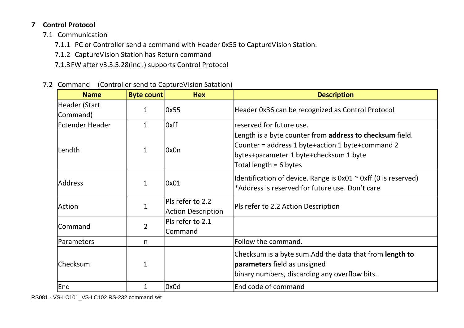## **7 Control Protocol**

- 7.1 Communication
	- 7.1.1 PC or Controller send a command with Header 0x55 to CaptureVision Station.
	- 7.1.2 CaptureVision Station has Return command
	- 7.1.3FW after v3.3.5.28(incl.) supports Control Protocol
- 7.2 Command (Controller send to CaptureVision Satation)

| <b>Name</b>               | <b>Byte count</b> | <b>Hex</b>                                    | <b>Description</b>                                                                                                                                                                 |
|---------------------------|-------------------|-----------------------------------------------|------------------------------------------------------------------------------------------------------------------------------------------------------------------------------------|
| Header (Start<br>Command) | $\mathbf 1$       | $\sqrt{0}$ x55                                | Header 0x36 can be recognized as Control Protocol                                                                                                                                  |
| Ectender Header           | $\mathbf{1}$      | 0xff                                          | reserved for future use.                                                                                                                                                           |
| Lendth                    | $\mathbf{1}$      | 0x0n                                          | Length is a byte counter from address to checksum field.<br>Counter = address 1 byte+action 1 byte+command 2<br>bytes+parameter 1 byte+checksum 1 byte<br>Total length = $6$ bytes |
| <b>Address</b>            | $\mathbf{1}$      | 0x01                                          | Identification of device. Range is $0x01 \approx 0x$ ff. (0 is reserved)<br>*Address is reserved for future use. Don't care                                                        |
| Action                    |                   | Pls refer to 2.2<br><b>Action Description</b> | Pls refer to 2.2 Action Description                                                                                                                                                |
| Command                   | $\overline{2}$    | Pls refer to 2.1<br>Command                   |                                                                                                                                                                                    |
| <b>Parameters</b>         | n                 |                                               | Follow the command.                                                                                                                                                                |
| Checksum                  | 1                 |                                               | Checksum is a byte sum. Add the data that from <b>length to</b><br>parameters field as unsigned<br>binary numbers, discarding any overflow bits.                                   |
| End                       | 1                 | 0x0d                                          | End code of command                                                                                                                                                                |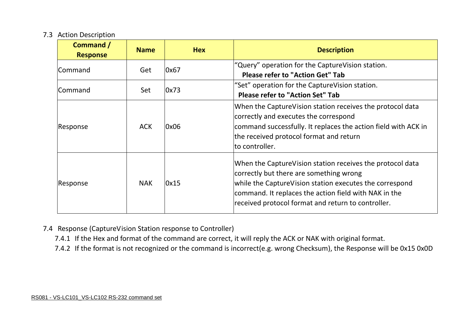#### 7.3 Action Description

| Command /<br><b>Response</b> | <b>Name</b> | <b>Hex</b> | <b>Description</b>                                                                                                                                                                                                                                                             |
|------------------------------|-------------|------------|--------------------------------------------------------------------------------------------------------------------------------------------------------------------------------------------------------------------------------------------------------------------------------|
| Command                      | Get         | 0x67       | "Query" operation for the CaptureVision station.<br><b>Please refer to "Action Get" Tab</b>                                                                                                                                                                                    |
| Command                      | Set         | 0x73       | "Set" operation for the CaptureVision station.<br><b>Please refer to "Action Set" Tab</b>                                                                                                                                                                                      |
| Response                     | <b>ACK</b>  | 0x06       | When the CaptureVision station receives the protocol data<br>correctly and executes the correspond<br>command successfully. It replaces the action field with ACK in<br>the received protocol format and return<br>to controller.                                              |
| Response                     | <b>NAK</b>  | 0x15       | When the CaptureVision station receives the protocol data<br>correctly but there are something wrong<br>while the CaptureVision station executes the correspond<br>command. It replaces the action field with NAK in the<br>received protocol format and return to controller. |

- 7.4 Response (CaptureVision Station response to Controller)
	- 7.4.1 If the Hex and format of the command are correct, it will reply the ACK or NAK with original format.
	- 7.4.2 If the format is not recognized or the command is incorrect(e.g. wrong Checksum), the Response will be 0x15 0x0D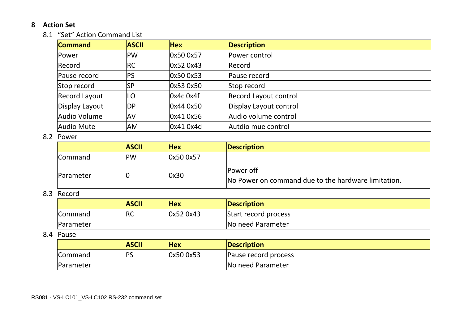#### **8 Action Set**

#### 8.1 "Set" Action Command List

| <b>Command</b>       | <b>ASCII</b> | <b>Hex</b>  | <b>Description</b>     |
|----------------------|--------------|-------------|------------------------|
| Power                | <b>PW</b>    | 0x50 0x57   | Power control          |
| Record               | <b>RC</b>    | 0x52 0x43   | Record                 |
| Pause record         | <b>PS</b>    | 0x50 0x53   | Pause record           |
| Stop record          | <b>SP</b>    | 0x53 0x50   | Stop record            |
| <b>Record Layout</b> | LO           | $0x4c$ 0x4f | Record Layout control  |
| Display Layout       | <b>DP</b>    | 0x44 0x50   | Display Layout control |
| Audio Volume         | <b>AV</b>    | 0x41 0x56   | Audio volume control   |
| Audio Mute           | <b>AM</b>    | 0x41 0x4d   | Autdio mue control     |

#### 8.2 Power

|                  | <b>ASCII</b> | <b>Hex</b> | Description                                                      |
|------------------|--------------|------------|------------------------------------------------------------------|
| <b>Command</b>   | <b>PW</b>    | 0x50 0x57  |                                                                  |
| <b>Parameter</b> |              | 0x30       | Power off<br>No Power on command due to the hardware limitation. |

#### 8.3 Record

|                | <b>ASCII</b> | <b>Hex</b> | Description          |
|----------------|--------------|------------|----------------------|
| <b>Command</b> | <b>RC</b>    | 0x52 0x43  | Start record process |
| Parameter      |              |            | No need Parameter    |

#### 8.4 Pause

|                  | <b>ASCII</b> | <b>Hex</b> | <b>Description</b>   |
|------------------|--------------|------------|----------------------|
| <b>Command</b>   | IDC          | 0x50 0x53  | Pause record process |
| <b>Parameter</b> |              |            | No need Parameter    |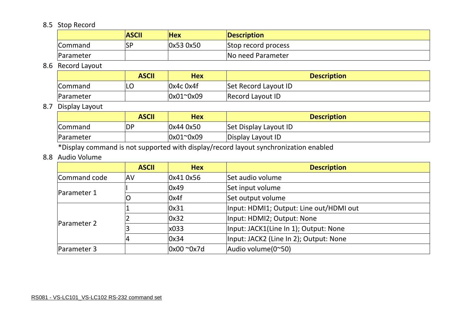## 8.5 Stop Record

|                  | <b>ASCII</b> | <b>Hex</b> | <b>Description</b>  |
|------------------|--------------|------------|---------------------|
| <b>Command</b>   | <b>SF</b>    | 0x53 0x50  | Stop record process |
| <b>Parameter</b> |              |            | No need Parameter   |

## 8.6 Record Layout

|                | <b>ASCII</b> | Hex         | <b>Description</b>   |
|----------------|--------------|-------------|----------------------|
| <b>Command</b> | ILC          | $0x4c$ Ox4f | Set Record Layout ID |
| Parameter      |              | 0x01~0x09   | Record Layout ID     |

## 8.7 Display Layout

|                  | <b>ASCII</b> | <b>Hex</b> | <b>Description</b>    |
|------------------|--------------|------------|-----------------------|
| <b>Command</b>   | <b>DP</b>    | 0x44 0x50  | Set Display Layout ID |
| <b>Parameter</b> |              | 0x01~0x09  | Display Layout ID     |

\*Display command is not supported with display/record layout synchronization enabled

#### 8.8 Audio Volume

|                    | <b>ASCII</b> | <b>Hex</b>         | <b>Description</b>                      |  |  |  |
|--------------------|--------------|--------------------|-----------------------------------------|--|--|--|
| Command code       | <b>AV</b>    | 0x41 0x56          | Set audio volume                        |  |  |  |
|                    |              | 0x49               | Set input volume                        |  |  |  |
| Parameter 1        | 0            | $\log 4f$          | Set output volume                       |  |  |  |
| <b>Parameter 2</b> |              | 0x31               | Input: HDMI1; Output: Line out/HDMI out |  |  |  |
|                    |              | 0x32               | Input: HDMI2; Output: None              |  |  |  |
|                    |              | x033               | Input: JACK1(Line In 1); Output: None   |  |  |  |
|                    |              | 0x34               | Input: JACK2 (Line In 2); Output: None  |  |  |  |
| Parameter 3        |              | $0x00^{\circ}0x7d$ | Audio volume(0~50)                      |  |  |  |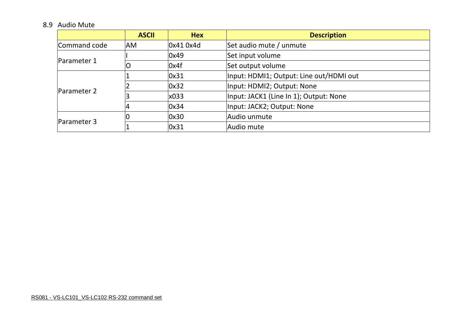## 8.9 Audio Mute

|                    | <b>ASCII</b> | <b>Hex</b> | <b>Description</b>                      |
|--------------------|--------------|------------|-----------------------------------------|
| Command code       | <b>AM</b>    | 0x41 0x4d  | Set audio mute / unmute                 |
|                    |              | 0x49       | Set input volume                        |
| Parameter 1        | O            | $\log 4f$  | Set output volume                       |
|                    |              | 0x31       | Input: HDMI1; Output: Line out/HDMI out |
|                    |              | 0x32       | Input: HDMI2; Output: None              |
| <b>Parameter 2</b> |              | x033       | Input: JACK1 (Line In 1); Output: None  |
|                    |              | 0x34       | Input: JACK2; Output: None              |
|                    |              | 0x30       | Audio unmute                            |
| <b>Parameter 3</b> |              | 0x31       | Audio mute                              |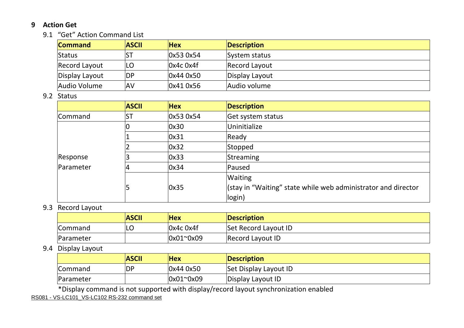#### **9 Action Get**

#### 9.1 "Get" Action Command List

| <b>Command</b> | <b>ASCII</b> | <b>Hex</b>             | Description    |
|----------------|--------------|------------------------|----------------|
| Status         |              | $\vert$ Ox53 Ox54      | System status  |
| Record Layout  | LO           | $0x4c$ 0x4f            | Record Layout  |
| Display Layout | <b>DP</b>    | 0x440x50               | Display Layout |
| Audio Volume   | <b>AV</b>    | $\vert 0x410x56 \vert$ | Audio volume   |

#### 9.2 Status

|           | <b>ASCII</b> | <b>Hex</b> | <b>Description</b>                                            |
|-----------|--------------|------------|---------------------------------------------------------------|
| Command   | <b>ST</b>    | 0x53 0x54  | Get system status                                             |
| 10        |              | 0x30       | Uninitialize                                                  |
|           |              | 0x31       | Ready                                                         |
|           | 0x32         | Stopped    |                                                               |
| Response  |              | 0x33       | Streaming                                                     |
| Parameter |              | 0x34       | Paused                                                        |
|           |              |            | <b>Waiting</b>                                                |
|           | 5            | 0x35       | (stay in "Waiting" state while web administrator and director |
|           |              |            | login)                                                        |

#### 9.3 Record Layout

|                  | <b>ASCII</b> | <b>Hex</b>         | Description          |
|------------------|--------------|--------------------|----------------------|
| <b>Command</b>   | ◡            | $0x4c$ 0x4f        | Set Record Layout ID |
| <b>Parameter</b> |              | $0x01^{\circ}0x09$ | Record Layout ID     |

## 9.4 Display Layout

|                  | <b>ASCII</b> | <b>Hex</b>         | Description           |
|------------------|--------------|--------------------|-----------------------|
| <b>Command</b>   | DP           | 0x44 0x50          | Set Display Layout ID |
| <b>Parameter</b> |              | $0x01^{\circ}0x09$ | Display Layout ID     |

\*Display command is not supported with display/record layout synchronization enabled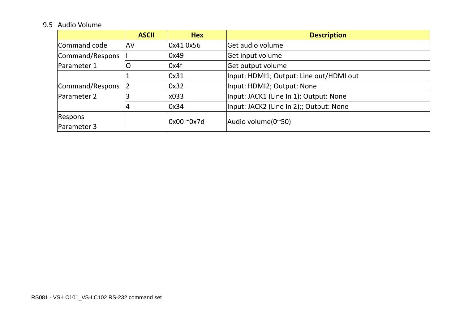## 9.5 Audio Volume

|                                | <b>ASCII</b> | <b>Hex</b>         | <b>Description</b>                      |  |  |  |  |  |
|--------------------------------|--------------|--------------------|-----------------------------------------|--|--|--|--|--|
| Command code                   | <b>JAV</b>   | 0x41 0x56          | Get audio volume                        |  |  |  |  |  |
| Command/Respons                |              | 0x49               | Get input volume                        |  |  |  |  |  |
| Parameter 1                    |              | 0x4f               | Get output volume                       |  |  |  |  |  |
| Command/Respons<br>Parameter 2 |              | 0x31               | Input: HDMI1; Output: Line out/HDMI out |  |  |  |  |  |
|                                |              | 0x32               | Input: HDMI2; Output: None              |  |  |  |  |  |
|                                |              | x033               | Input: JACK1 (Line In 1); Output: None  |  |  |  |  |  |
|                                |              | 0x34               | Input: JACK2 (Line In 2);; Output: None |  |  |  |  |  |
| Respons                        |              | $0x00^{\circ}0x7d$ |                                         |  |  |  |  |  |
| Parameter 3                    |              |                    | Audio volume(0~50)                      |  |  |  |  |  |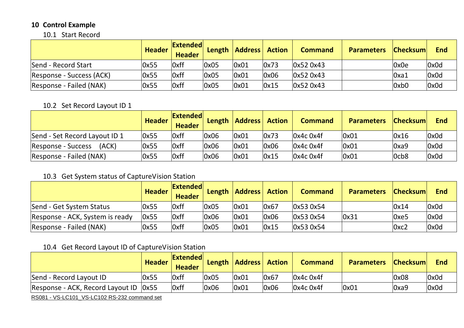## **10 Control Example**

#### 10.1 Start Record

|                          | <b>Header</b> | <b>Extended</b><br><b>Header</b> | Length | <b>Address</b> Action |      | <b>Command</b>    | <b>Parameters</b> | <b>Checksum</b> | <b>End</b> |
|--------------------------|---------------|----------------------------------|--------|-----------------------|------|-------------------|-------------------|-----------------|------------|
| Send - Record Start      | 0x55          | Oxff                             | 0x05   | 0x01                  | 0x73 | 0x52 0x43         |                   | 0x0e            | 0x0d       |
| Response - Success (ACK) | 0x55          | 0xff                             | 0x05   | 0x01                  | 0x06 | 0x52 0x43         |                   | $\alpha$ a1     | 0x0d       |
| Response - Failed (NAK)  | 0x55          | Oxff                             | 0x05   | 0x01                  | 0x15 | $\vert$ Ox52 Ox43 |                   | 0xb0            | 0x0d       |

## 10.2 Set Record Layout ID 1

|                               | <b>Header</b> | <b>Extended</b><br><b>Header</b> |      | Length   Address   Action |      | <b>Command</b> | <b>Parameters</b> | <b>Checksum</b>                | <b>End</b> |
|-------------------------------|---------------|----------------------------------|------|---------------------------|------|----------------|-------------------|--------------------------------|------------|
| Send - Set Record Layout ID 1 | 0x55          | <b>Oxff</b>                      | 0x06 | 0x01                      | 0x73 | $Ox4c$ Ox4f    | 0x01              | 0x16                           | 0x0d       |
| (ACK)<br>Response - Success   | 0x55          | Oxff                             | 0x06 | 0x01                      | 0x06 | $Ox4c$ Ox4f    | 0x01              | $\log$                         | 0x0d       |
| Response - Failed (NAK)       | 0x55          | <b>Oxff</b>                      | 0x06 | 0x01                      | 0x15 | $Ox4c$ Ox4f    | 0x01              | l <sub>0</sub> cb <sub>8</sub> | 0x0d       |

## 10.3 Get System status of CaptureVision Station

|                                 | <b>Header</b> | <b>Extended</b><br><b>Header</b> | Length | <b>Address</b> Action |      | <b>Command</b> | <b>Parameters</b> | <b>Checksum</b> | <b>End</b> |
|---------------------------------|---------------|----------------------------------|--------|-----------------------|------|----------------|-------------------|-----------------|------------|
| Send - Get System Status        | 0x55          | <b>Oxff</b>                      | 0x05   | 0x01                  | 0x67 | 0x53 0x54      |                   | 0x14            | 0x0d       |
| Response - ACK, System is ready | 0x55          | Oxff                             | 0x06   | 0x01                  | 0x06 | 0x53 0x54      | $\log 31$         | Oxe5            | 0x0d       |
| Response - Failed (NAK)         | 0x55          | Oxff                             | 0x05   | 0x01                  | 0x15 | 0x53 0x54      |                   | Oxc2            | 0x0d       |

## 10.4 Get Record Layout ID of CaptureVision Station

|                                         | <b>Header</b> | <b>Extended</b><br><b>Header</b> |      | Length   Address   Action |      | <b>Command</b> | <b>Parameters Checksum</b> |      | <b>End</b> |
|-----------------------------------------|---------------|----------------------------------|------|---------------------------|------|----------------|----------------------------|------|------------|
| Send - Record Layout ID                 | 0x55          | Oxff                             | 0x05 | 0x01                      | 0x67 | 0x4c0x4f       |                            | 0x08 | 0x0d       |
| Response - ACK, Record Layout ID   0x55 |               | Oxff                             | 0x06 | 0x01                      | 0x06 | 0x4c0x4f       | 0x01                       | Oxa9 | 0x0d       |